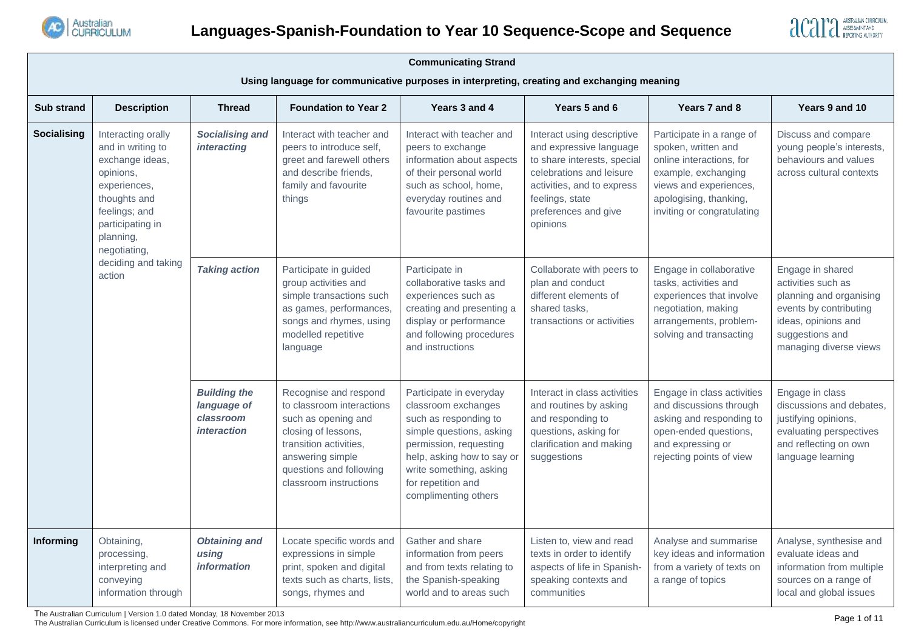



|                    | <b>Communicating Strand</b>                                                                                                                                               |                                                                       |                                                                                                                                                                                                     |                                                                                                                                                                                                                                      |                                                                                                                                                                                                       |                                                                                                                                                                                       |                                                                                                                                                                 |  |  |  |
|--------------------|---------------------------------------------------------------------------------------------------------------------------------------------------------------------------|-----------------------------------------------------------------------|-----------------------------------------------------------------------------------------------------------------------------------------------------------------------------------------------------|--------------------------------------------------------------------------------------------------------------------------------------------------------------------------------------------------------------------------------------|-------------------------------------------------------------------------------------------------------------------------------------------------------------------------------------------------------|---------------------------------------------------------------------------------------------------------------------------------------------------------------------------------------|-----------------------------------------------------------------------------------------------------------------------------------------------------------------|--|--|--|
|                    | Using language for communicative purposes in interpreting, creating and exchanging meaning                                                                                |                                                                       |                                                                                                                                                                                                     |                                                                                                                                                                                                                                      |                                                                                                                                                                                                       |                                                                                                                                                                                       |                                                                                                                                                                 |  |  |  |
| <b>Sub strand</b>  | <b>Foundation to Year 2</b><br>Years 3 and 4<br>Years 5 and 6<br>Years 7 and 8<br>Years 9 and 10<br><b>Description</b><br><b>Thread</b>                                   |                                                                       |                                                                                                                                                                                                     |                                                                                                                                                                                                                                      |                                                                                                                                                                                                       |                                                                                                                                                                                       |                                                                                                                                                                 |  |  |  |
| <b>Socialising</b> | Interacting orally<br>and in writing to<br>exchange ideas,<br>opinions,<br>experiences,<br>thoughts and<br>feelings; and<br>participating in<br>planning,<br>negotiating, | <b>Socialising and</b><br><i>interacting</i>                          | Interact with teacher and<br>peers to introduce self,<br>greet and farewell others<br>and describe friends,<br>family and favourite<br>things                                                       | Interact with teacher and<br>peers to exchange<br>information about aspects<br>of their personal world<br>such as school, home,<br>everyday routines and<br>favourite pastimes                                                       | Interact using descriptive<br>and expressive language<br>to share interests, special<br>celebrations and leisure<br>activities, and to express<br>feelings, state<br>preferences and give<br>opinions | Participate in a range of<br>spoken, written and<br>online interactions, for<br>example, exchanging<br>views and experiences,<br>apologising, thanking,<br>inviting or congratulating | Discuss and compare<br>young people's interests,<br>behaviours and values<br>across cultural contexts                                                           |  |  |  |
|                    | deciding and taking<br>action                                                                                                                                             | <b>Taking action</b>                                                  | Participate in guided<br>group activities and<br>simple transactions such<br>as games, performances,<br>songs and rhymes, using<br>modelled repetitive<br>language                                  | Participate in<br>collaborative tasks and<br>experiences such as<br>creating and presenting a<br>display or performance<br>and following procedures<br>and instructions                                                              | Collaborate with peers to<br>plan and conduct<br>different elements of<br>shared tasks,<br>transactions or activities                                                                                 | Engage in collaborative<br>tasks, activities and<br>experiences that involve<br>negotiation, making<br>arrangements, problem-<br>solving and transacting                              | Engage in shared<br>activities such as<br>planning and organising<br>events by contributing<br>ideas, opinions and<br>suggestions and<br>managing diverse views |  |  |  |
|                    |                                                                                                                                                                           | <b>Building the</b><br>language of<br>classroom<br><i>interaction</i> | Recognise and respond<br>to classroom interactions<br>such as opening and<br>closing of lessons,<br>transition activities,<br>answering simple<br>questions and following<br>classroom instructions | Participate in everyday<br>classroom exchanges<br>such as responding to<br>simple questions, asking<br>permission, requesting<br>help, asking how to say or<br>write something, asking<br>for repetition and<br>complimenting others | Interact in class activities<br>and routines by asking<br>and responding to<br>questions, asking for<br>clarification and making<br>suggestions                                                       | Engage in class activities<br>and discussions through<br>asking and responding to<br>open-ended questions,<br>and expressing or<br>rejecting points of view                           | Engage in class<br>discussions and debates,<br>justifying opinions,<br>evaluating perspectives<br>and reflecting on own<br>language learning                    |  |  |  |
| <b>Informing</b>   | Obtaining,<br>processing,<br>interpreting and<br>conveying<br>information through                                                                                         | <b>Obtaining and</b><br>using<br><i>information</i>                   | Locate specific words and<br>expressions in simple<br>print, spoken and digital<br>texts such as charts, lists,<br>songs, rhymes and                                                                | Gather and share<br>information from peers<br>and from texts relating to<br>the Spanish-speaking<br>world and to areas such                                                                                                          | Listen to, view and read<br>texts in order to identify<br>aspects of life in Spanish-<br>speaking contexts and<br>communities                                                                         | Analyse and summarise<br>key ideas and information<br>from a variety of texts on<br>a range of topics                                                                                 | Analyse, synthesise and<br>evaluate ideas and<br>information from multiple<br>sources on a range of<br>local and global issues                                  |  |  |  |

The Australian Curriculum | Version 1.0 dated Monday, 18 November 2013

The Australian Curriculum is licensed under Creative Commons. For more information, see http://www.australiancurriculum.edu.au/Home/copyright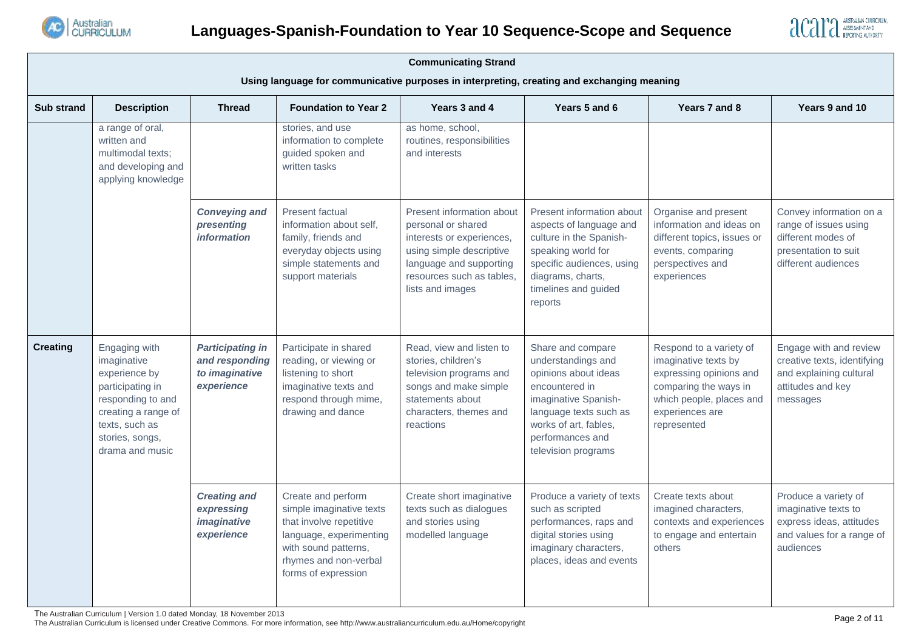



|                   | <b>Communicating Strand</b><br>Using language for communicative purposes in interpreting, creating and exchanging meaning                                             |                                                                           |                                                                                                                                                                                                                                                                                                                                   |                                                                                                                                                                |                                                                                                                                                                                                         |                                                                                                                                                                   |                                                                                                                       |  |  |
|-------------------|-----------------------------------------------------------------------------------------------------------------------------------------------------------------------|---------------------------------------------------------------------------|-----------------------------------------------------------------------------------------------------------------------------------------------------------------------------------------------------------------------------------------------------------------------------------------------------------------------------------|----------------------------------------------------------------------------------------------------------------------------------------------------------------|---------------------------------------------------------------------------------------------------------------------------------------------------------------------------------------------------------|-------------------------------------------------------------------------------------------------------------------------------------------------------------------|-----------------------------------------------------------------------------------------------------------------------|--|--|
| <b>Sub strand</b> | <b>Foundation to Year 2</b><br>Years 3 and 4<br>Years 5 and 6<br>Years 7 and 8<br>Years 9 and 10<br><b>Description</b><br><b>Thread</b>                               |                                                                           |                                                                                                                                                                                                                                                                                                                                   |                                                                                                                                                                |                                                                                                                                                                                                         |                                                                                                                                                                   |                                                                                                                       |  |  |
|                   | a range of oral,<br>written and<br>multimodal texts;<br>and developing and<br>applying knowledge                                                                      |                                                                           | stories, and use<br>information to complete<br>guided spoken and<br>written tasks                                                                                                                                                                                                                                                 | as home, school,<br>routines, responsibilities<br>and interests                                                                                                |                                                                                                                                                                                                         |                                                                                                                                                                   |                                                                                                                       |  |  |
|                   |                                                                                                                                                                       | <b>Conveying and</b><br>presenting<br><i>information</i>                  | Present factual<br>Present information about<br>information about self,<br>personal or shared<br>family, friends and<br>interests or experiences,<br>everyday objects using<br>using simple descriptive<br>simple statements and<br>language and supporting<br>resources such as tables,<br>support materials<br>lists and images |                                                                                                                                                                | Present information about<br>aspects of language and<br>culture in the Spanish-<br>speaking world for<br>specific audiences, using<br>diagrams, charts,<br>timelines and guided<br>reports              | Organise and present<br>information and ideas on<br>different topics, issues or<br>events, comparing<br>perspectives and<br>experiences                           | Convey information on a<br>range of issues using<br>different modes of<br>presentation to suit<br>different audiences |  |  |
| <b>Creating</b>   | Engaging with<br>imaginative<br>experience by<br>participating in<br>responding to and<br>creating a range of<br>texts, such as<br>stories, songs,<br>drama and music | <b>Participating in</b><br>and responding<br>to imaginative<br>experience | Participate in shared<br>reading, or viewing or<br>listening to short<br>imaginative texts and<br>respond through mime,<br>drawing and dance                                                                                                                                                                                      | Read, view and listen to<br>stories, children's<br>television programs and<br>songs and make simple<br>statements about<br>characters, themes and<br>reactions | Share and compare<br>understandings and<br>opinions about ideas<br>encountered in<br>imaginative Spanish-<br>language texts such as<br>works of art, fables,<br>performances and<br>television programs | Respond to a variety of<br>imaginative texts by<br>expressing opinions and<br>comparing the ways in<br>which people, places and<br>experiences are<br>represented | Engage with and review<br>creative texts, identifying<br>and explaining cultural<br>attitudes and key<br>messages     |  |  |
|                   |                                                                                                                                                                       | <b>Creating and</b><br>expressing<br>imaginative<br>experience            | Create and perform<br>simple imaginative texts<br>that involve repetitive<br>language, experimenting<br>with sound patterns,<br>rhymes and non-verbal<br>forms of expression                                                                                                                                                      | Create short imaginative<br>texts such as dialogues<br>and stories using<br>modelled language                                                                  | Produce a variety of texts<br>such as scripted<br>performances, raps and<br>digital stories using<br>imaginary characters,<br>places, ideas and events                                                  | Create texts about<br>imagined characters,<br>contexts and experiences<br>to engage and entertain<br>others                                                       | Produce a variety of<br>imaginative texts to<br>express ideas, attitudes<br>and values for a range of<br>audiences    |  |  |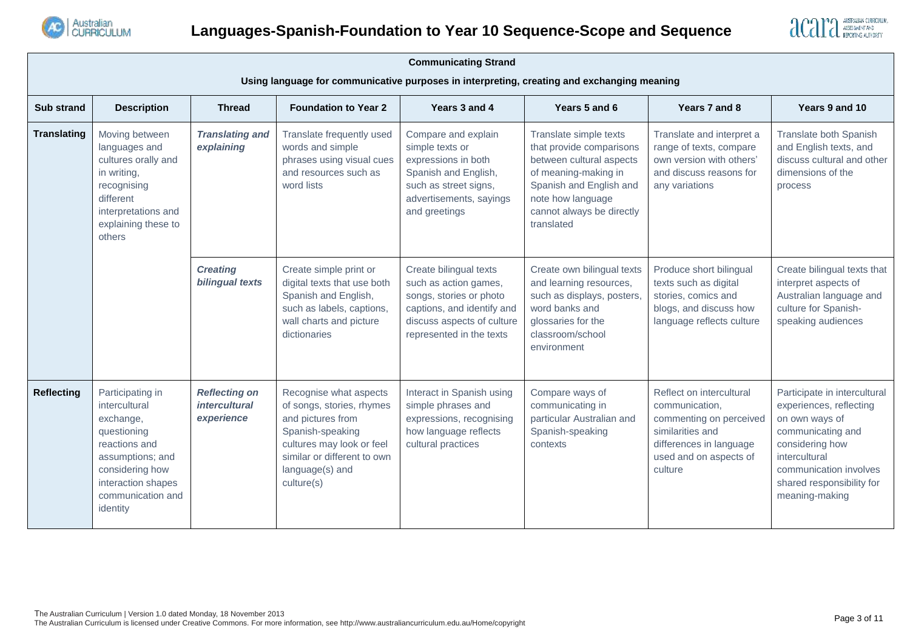



|                    | <b>Communicating Strand</b><br>Using language for communicative purposes in interpreting, creating and exchanging meaning                                                                                                                                                                                                                                                                                                                                                                                                    |                                                            |                                                                                                                                                                                           |                                                                                                                                                                                                   |                                                                                                                                |                                                                                                                                                           |                                                                                                                                                                                                             |  |  |  |
|--------------------|------------------------------------------------------------------------------------------------------------------------------------------------------------------------------------------------------------------------------------------------------------------------------------------------------------------------------------------------------------------------------------------------------------------------------------------------------------------------------------------------------------------------------|------------------------------------------------------------|-------------------------------------------------------------------------------------------------------------------------------------------------------------------------------------------|---------------------------------------------------------------------------------------------------------------------------------------------------------------------------------------------------|--------------------------------------------------------------------------------------------------------------------------------|-----------------------------------------------------------------------------------------------------------------------------------------------------------|-------------------------------------------------------------------------------------------------------------------------------------------------------------------------------------------------------------|--|--|--|
| <b>Sub strand</b>  | <b>Description</b><br><b>Foundation to Year 2</b><br>Years 3 and 4<br>Years 5 and 6<br>Years 7 and 8<br>Years 9 and 10<br><b>Thread</b>                                                                                                                                                                                                                                                                                                                                                                                      |                                                            |                                                                                                                                                                                           |                                                                                                                                                                                                   |                                                                                                                                |                                                                                                                                                           |                                                                                                                                                                                                             |  |  |  |
| <b>Translating</b> | Moving between<br><b>Translating and</b><br>Translate frequently used<br>languages and<br>explaining<br>words and simple<br>cultures orally and<br>phrases using visual cues<br>and resources such as<br>in writing,<br>word lists<br>recognising<br>different<br>interpretations and<br>explaining these to<br>others<br><b>Creating</b><br>Create simple print or<br><b>bilingual texts</b><br>digital texts that use both<br>Spanish and English,<br>such as labels, captions,<br>wall charts and picture<br>dictionaries |                                                            | Compare and explain<br>simple texts or<br>expressions in both<br>Spanish and English,<br>such as street signs,<br>advertisements, sayings<br>and greetings                                | Translate simple texts<br>that provide comparisons<br>between cultural aspects<br>of meaning-making in<br>Spanish and English and<br>note how language<br>cannot always be directly<br>translated | Translate and interpret a<br>range of texts, compare<br>own version with others'<br>and discuss reasons for<br>any variations  | Translate both Spanish<br>and English texts, and<br>discuss cultural and other<br>dimensions of the<br>process                                            |                                                                                                                                                                                                             |  |  |  |
|                    |                                                                                                                                                                                                                                                                                                                                                                                                                                                                                                                              |                                                            | Create bilingual texts<br>such as action games,<br>songs, stories or photo<br>captions, and identify and<br>discuss aspects of culture<br>represented in the texts                        | Create own bilingual texts<br>and learning resources,<br>such as displays, posters,<br>word banks and<br>glossaries for the<br>classroom/school<br>environment                                    | Produce short bilingual<br>texts such as digital<br>stories, comics and<br>blogs, and discuss how<br>language reflects culture | Create bilingual texts that<br>interpret aspects of<br>Australian language and<br>culture for Spanish-<br>speaking audiences                              |                                                                                                                                                                                                             |  |  |  |
| <b>Reflecting</b>  | Participating in<br>intercultural<br>exchange,<br>questioning<br>reactions and<br>assumptions; and<br>considering how<br>interaction shapes<br>communication and<br>identity                                                                                                                                                                                                                                                                                                                                                 | <b>Reflecting on</b><br><i>intercultural</i><br>experience | Recognise what aspects<br>of songs, stories, rhymes<br>and pictures from<br>Spanish-speaking<br>cultures may look or feel<br>similar or different to own<br>language(s) and<br>culture(s) | Interact in Spanish using<br>simple phrases and<br>expressions, recognising<br>how language reflects<br>cultural practices                                                                        | Compare ways of<br>communicating in<br>particular Australian and<br>Spanish-speaking<br>contexts                               | Reflect on intercultural<br>communication,<br>commenting on perceived<br>similarities and<br>differences in language<br>used and on aspects of<br>culture | Participate in intercultural<br>experiences, reflecting<br>on own ways of<br>communicating and<br>considering how<br>intercultural<br>communication involves<br>shared responsibility for<br>meaning-making |  |  |  |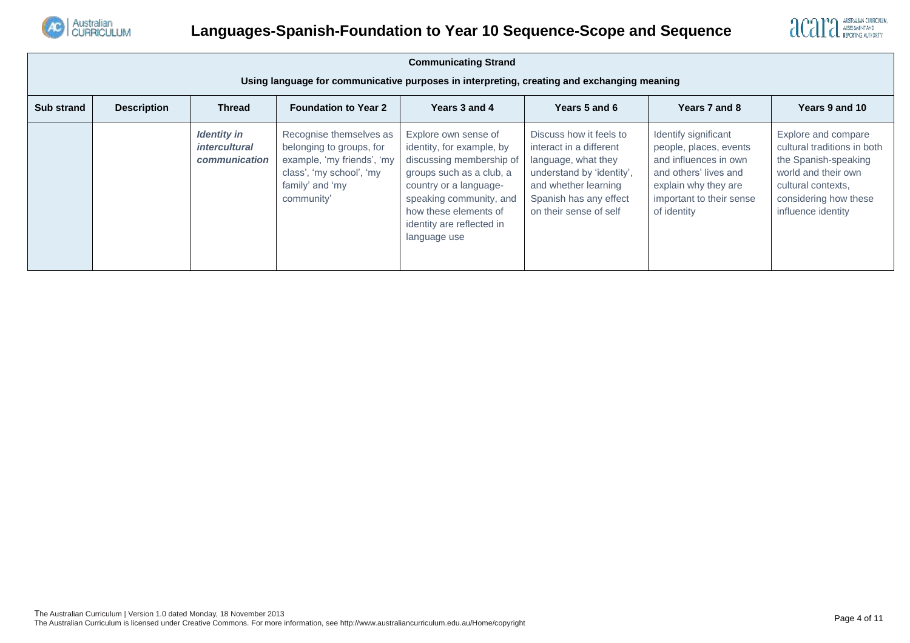



|                   | <b>Communicating Strand</b>                                                                                                      |                                                             |                                                                                                                                                |                                                                                                                                                                                                                                      |                                                                                                                                                                                    |                                                                                                                                                                     |                                                                                                                                                                        |  |  |  |
|-------------------|----------------------------------------------------------------------------------------------------------------------------------|-------------------------------------------------------------|------------------------------------------------------------------------------------------------------------------------------------------------|--------------------------------------------------------------------------------------------------------------------------------------------------------------------------------------------------------------------------------------|------------------------------------------------------------------------------------------------------------------------------------------------------------------------------------|---------------------------------------------------------------------------------------------------------------------------------------------------------------------|------------------------------------------------------------------------------------------------------------------------------------------------------------------------|--|--|--|
|                   | Using language for communicative purposes in interpreting, creating and exchanging meaning                                       |                                                             |                                                                                                                                                |                                                                                                                                                                                                                                      |                                                                                                                                                                                    |                                                                                                                                                                     |                                                                                                                                                                        |  |  |  |
| <b>Sub strand</b> | <b>Foundation to Year 2</b><br><b>Description</b><br>Years 3 and 4<br>Years 5 and 6<br>Years 7 and 8<br>Years 9 and 10<br>Thread |                                                             |                                                                                                                                                |                                                                                                                                                                                                                                      |                                                                                                                                                                                    |                                                                                                                                                                     |                                                                                                                                                                        |  |  |  |
|                   |                                                                                                                                  | <b>Identity in</b><br><i>intercultural</i><br>communication | Recognise themselves as<br>belonging to groups, for<br>example, 'my friends', 'my<br>class', 'my school', 'my<br>family' and 'my<br>community' | Explore own sense of<br>identity, for example, by<br>discussing membership of<br>groups such as a club, a<br>country or a language-<br>speaking community, and<br>how these elements of<br>identity are reflected in<br>language use | Discuss how it feels to<br>interact in a different<br>language, what they<br>understand by 'identity',<br>and whether learning<br>Spanish has any effect<br>on their sense of self | Identify significant<br>people, places, events<br>and influences in own<br>and others' lives and<br>explain why they are<br>important to their sense<br>of identity | Explore and compare<br>cultural traditions in both<br>the Spanish-speaking<br>world and their own<br>cultural contexts,<br>considering how these<br>influence identity |  |  |  |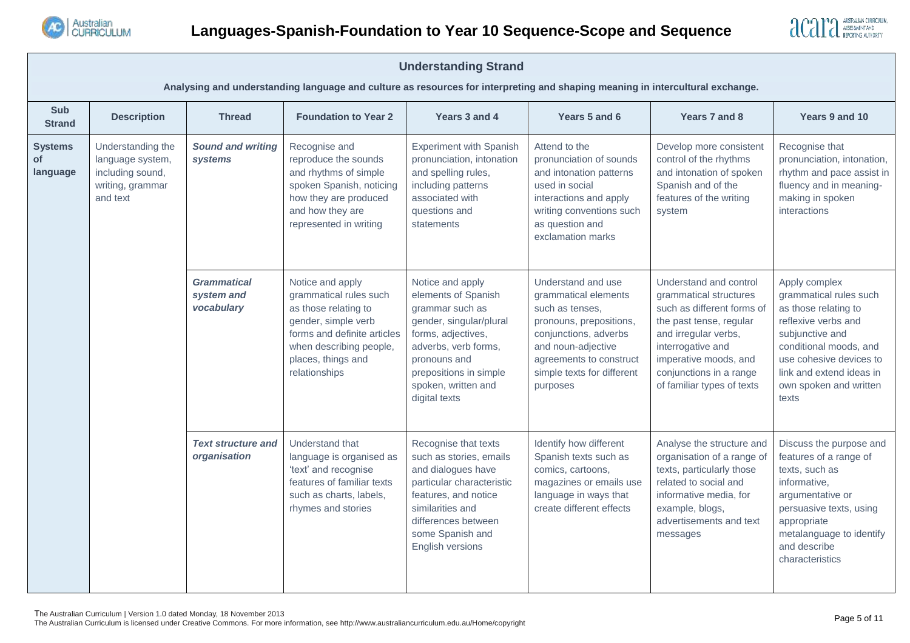



|                                         | <b>Understanding Strand</b><br>Analysing and understanding language and culture as resources for interpreting and shaping meaning in intercultural exchange.                              |                                                                                                 |                                                                                                                                                                                            |                                                                                                                                                                                                                       |                                                                                                                                                                                                              |                                                                                                                                                                                                                                          |                                                                                                                                                                                                                               |  |  |
|-----------------------------------------|-------------------------------------------------------------------------------------------------------------------------------------------------------------------------------------------|-------------------------------------------------------------------------------------------------|--------------------------------------------------------------------------------------------------------------------------------------------------------------------------------------------|-----------------------------------------------------------------------------------------------------------------------------------------------------------------------------------------------------------------------|--------------------------------------------------------------------------------------------------------------------------------------------------------------------------------------------------------------|------------------------------------------------------------------------------------------------------------------------------------------------------------------------------------------------------------------------------------------|-------------------------------------------------------------------------------------------------------------------------------------------------------------------------------------------------------------------------------|--|--|
| Sub<br><b>Strand</b>                    | <b>Description</b>                                                                                                                                                                        | <b>Foundation to Year 2</b><br>Years 3 and 4<br>Years 5 and 6<br>Years 7 and 8<br><b>Thread</b> |                                                                                                                                                                                            |                                                                                                                                                                                                                       |                                                                                                                                                                                                              |                                                                                                                                                                                                                                          |                                                                                                                                                                                                                               |  |  |
| <b>Systems</b><br><b>of</b><br>language | <b>Sound and writing</b><br>Understanding the<br>language system,<br><b>systems</b><br>including sound,<br>writing, grammar<br>and text<br><b>Grammatical</b><br>system and<br>vocabulary |                                                                                                 | Recognise and<br>reproduce the sounds<br>and rhythms of simple<br>spoken Spanish, noticing<br>how they are produced<br>and how they are<br>represented in writing                          | <b>Experiment with Spanish</b><br>pronunciation, intonation<br>and spelling rules,<br>including patterns<br>associated with<br>questions and<br>statements                                                            | Attend to the<br>pronunciation of sounds<br>and intonation patterns<br>used in social<br>interactions and apply<br>writing conventions such<br>as question and<br>exclamation marks                          | Develop more consistent<br>control of the rhythms<br>and intonation of spoken<br>Spanish and of the<br>features of the writing<br>system                                                                                                 | Recognise that<br>pronunciation, intonation,<br>rhythm and pace assist in<br>fluency and in meaning-<br>making in spoken<br>interactions                                                                                      |  |  |
|                                         |                                                                                                                                                                                           |                                                                                                 | Notice and apply<br>grammatical rules such<br>as those relating to<br>gender, simple verb<br>forms and definite articles<br>when describing people,<br>places, things and<br>relationships | Notice and apply<br>elements of Spanish<br>grammar such as<br>gender, singular/plural<br>forms, adjectives,<br>adverbs, verb forms,<br>pronouns and<br>prepositions in simple<br>spoken, written and<br>digital texts | Understand and use<br>grammatical elements<br>such as tenses.<br>pronouns, prepositions,<br>conjunctions, adverbs<br>and noun-adjective<br>agreements to construct<br>simple texts for different<br>purposes | Understand and control<br>grammatical structures<br>such as different forms of<br>the past tense, regular<br>and irregular verbs,<br>interrogative and<br>imperative moods, and<br>conjunctions in a range<br>of familiar types of texts | Apply complex<br>grammatical rules such<br>as those relating to<br>reflexive verbs and<br>subjunctive and<br>conditional moods, and<br>use cohesive devices to<br>link and extend ideas in<br>own spoken and written<br>texts |  |  |
|                                         |                                                                                                                                                                                           | <b>Text structure and</b><br>organisation                                                       | Understand that<br>language is organised as<br>'text' and recognise<br>features of familiar texts<br>such as charts, labels,<br>rhymes and stories                                         | Recognise that texts<br>such as stories, emails<br>and dialogues have<br>particular characteristic<br>features, and notice<br>similarities and<br>differences between<br>some Spanish and<br>English versions         | Identify how different<br>Spanish texts such as<br>comics, cartoons,<br>magazines or emails use<br>language in ways that<br>create different effects                                                         | Analyse the structure and<br>organisation of a range of<br>texts, particularly those<br>related to social and<br>informative media, for<br>example, blogs,<br>advertisements and text<br>messages                                        | Discuss the purpose and<br>features of a range of<br>texts, such as<br>informative,<br>argumentative or<br>persuasive texts, using<br>appropriate<br>metalanguage to identify<br>and describe<br>characteristics              |  |  |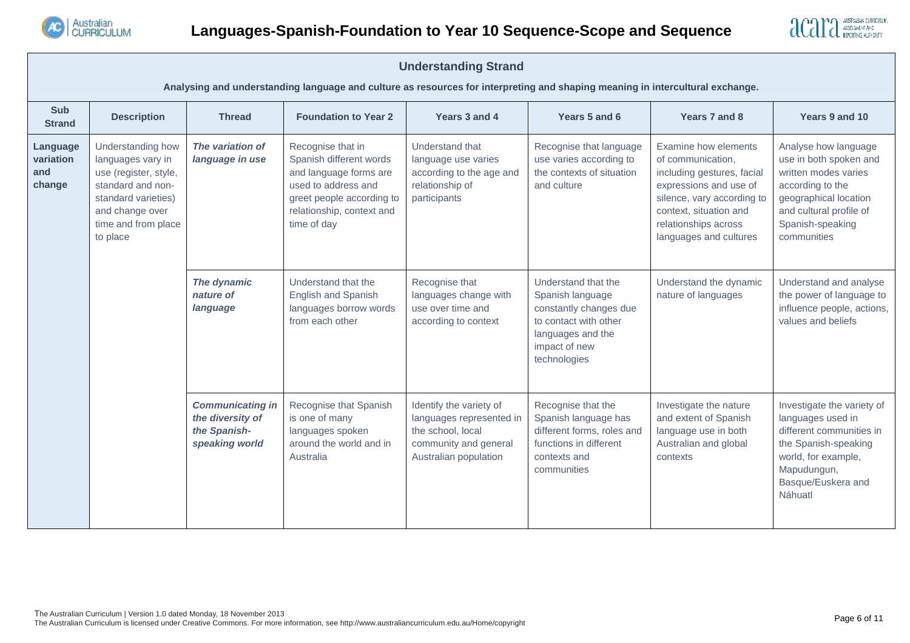



|                                        | <b>Understanding Strand</b>                                                                                                                                                                                                                                                                                                              |                                                                                |                                                                                                                                                                        |                                                                                                                            |                                                                                                                                                  |                                                                                                                                                                                                             |                                                                                                                                                                                   |  |  |  |
|----------------------------------------|------------------------------------------------------------------------------------------------------------------------------------------------------------------------------------------------------------------------------------------------------------------------------------------------------------------------------------------|--------------------------------------------------------------------------------|------------------------------------------------------------------------------------------------------------------------------------------------------------------------|----------------------------------------------------------------------------------------------------------------------------|--------------------------------------------------------------------------------------------------------------------------------------------------|-------------------------------------------------------------------------------------------------------------------------------------------------------------------------------------------------------------|-----------------------------------------------------------------------------------------------------------------------------------------------------------------------------------|--|--|--|
|                                        | Analysing and understanding language and culture as resources for interpreting and shaping meaning in intercultural exchange.                                                                                                                                                                                                            |                                                                                |                                                                                                                                                                        |                                                                                                                            |                                                                                                                                                  |                                                                                                                                                                                                             |                                                                                                                                                                                   |  |  |  |
| <b>Sub</b><br><b>Strand</b>            | <b>Description</b>                                                                                                                                                                                                                                                                                                                       | <b>Foundation to Year 2</b><br>Years 3 and 4<br>Years 5 and 6<br><b>Thread</b> |                                                                                                                                                                        |                                                                                                                            |                                                                                                                                                  | Years 7 and 8                                                                                                                                                                                               | Years 9 and 10                                                                                                                                                                    |  |  |  |
| Language<br>variation<br>and<br>change | <b>Understanding how</b><br>The variation of<br>languages vary in<br>language in use<br>use (register, style,<br>standard and non-<br>standard varieties)<br>and change over<br>time and from place<br>to place<br>The dynamic<br>nature of<br>language<br><b>Communicating in</b><br>the diversity of<br>the Spanish-<br>speaking world |                                                                                | Recognise that in<br>Spanish different words<br>and language forms are<br>used to address and<br>greet people according to<br>relationship, context and<br>time of day | Understand that<br>language use varies<br>according to the age and<br>relationship of<br>participants                      | Recognise that language<br>use varies according to<br>the contexts of situation<br>and culture                                                   | Examine how elements<br>of communication,<br>including gestures, facial<br>expressions and use of<br>silence, vary according to<br>context, situation and<br>relationships across<br>languages and cultures | Analyse how language<br>use in both spoken and<br>written modes varies<br>according to the<br>geographical location<br>and cultural profile of<br>Spanish-speaking<br>communities |  |  |  |
|                                        |                                                                                                                                                                                                                                                                                                                                          |                                                                                | Understand that the<br>English and Spanish<br>languages borrow words<br>from each other                                                                                | Recognise that<br>languages change with<br>use over time and<br>according to context                                       | Understand that the<br>Spanish language<br>constantly changes due<br>to contact with other<br>languages and the<br>impact of new<br>technologies | Understand the dynamic<br>nature of languages                                                                                                                                                               | Understand and analyse<br>the power of language to<br>influence people, actions,<br>values and beliefs                                                                            |  |  |  |
|                                        |                                                                                                                                                                                                                                                                                                                                          |                                                                                | Recognise that Spanish<br>is one of many<br>languages spoken<br>around the world and in<br>Australia                                                                   | Identify the variety of<br>languages represented in<br>the school, local<br>community and general<br>Australian population | Recognise that the<br>Spanish language has<br>different forms, roles and<br>functions in different<br>contexts and<br>communities                | Investigate the nature<br>and extent of Spanish<br>language use in both<br>Australian and global<br>contexts                                                                                                | Investigate the variety of<br>languages used in<br>different communities in<br>the Spanish-speaking<br>world, for example,<br>Mapudungun,<br>Basque/Euskera and<br>Náhuatl        |  |  |  |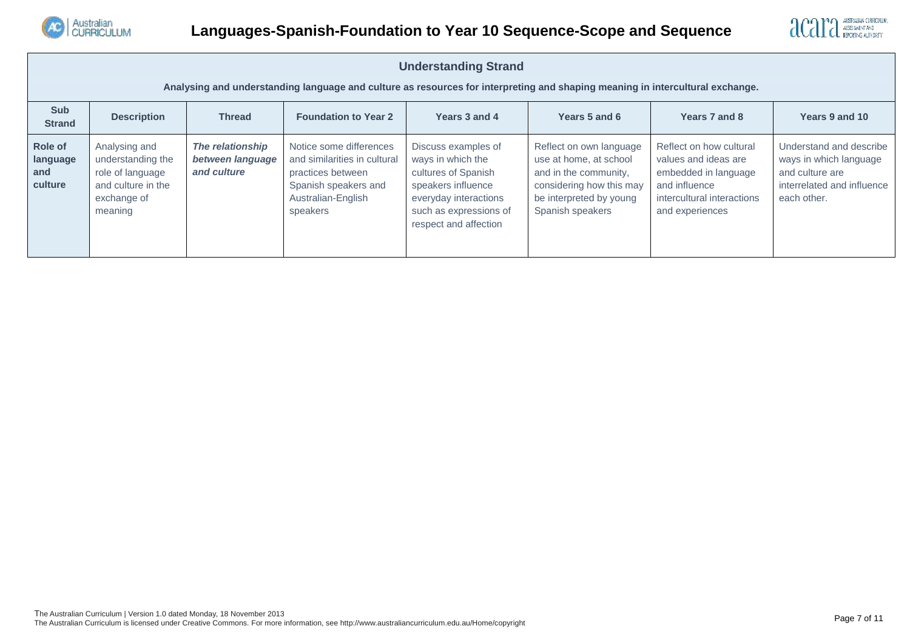



|                                       | <b>Understanding Strand</b>                                                                                                             |                                                     |                                                                                                                                        |                                                                                                                                                                   |                                                                                                                                                       |                                                                                                                                           |                                                                                                                   |  |  |
|---------------------------------------|-----------------------------------------------------------------------------------------------------------------------------------------|-----------------------------------------------------|----------------------------------------------------------------------------------------------------------------------------------------|-------------------------------------------------------------------------------------------------------------------------------------------------------------------|-------------------------------------------------------------------------------------------------------------------------------------------------------|-------------------------------------------------------------------------------------------------------------------------------------------|-------------------------------------------------------------------------------------------------------------------|--|--|
|                                       |                                                                                                                                         |                                                     |                                                                                                                                        |                                                                                                                                                                   | Analysing and understanding language and culture as resources for interpreting and shaping meaning in intercultural exchange.                         |                                                                                                                                           |                                                                                                                   |  |  |
| <b>Sub</b><br><b>Strand</b>           | <b>Description</b><br><b>Foundation to Year 2</b><br><b>Thread</b><br>Years 3 and 4<br>Years 5 and 6<br>Years 7 and 8<br>Years 9 and 10 |                                                     |                                                                                                                                        |                                                                                                                                                                   |                                                                                                                                                       |                                                                                                                                           |                                                                                                                   |  |  |
| Role of<br>language<br>and<br>culture | Analysing and<br>understanding the<br>role of language<br>and culture in the<br>exchange of<br>meaning                                  | The relationship<br>between language<br>and culture | Notice some differences<br>and similarities in cultural<br>practices between<br>Spanish speakers and<br>Australian-English<br>speakers | Discuss examples of<br>ways in which the<br>cultures of Spanish<br>speakers influence<br>everyday interactions<br>such as expressions of<br>respect and affection | Reflect on own language<br>use at home, at school<br>and in the community.<br>considering how this may<br>be interpreted by young<br>Spanish speakers | Reflect on how cultural<br>values and ideas are<br>embedded in language<br>and influence<br>intercultural interactions<br>and experiences | Understand and describe<br>ways in which language<br>and culture are<br>interrelated and influence<br>each other. |  |  |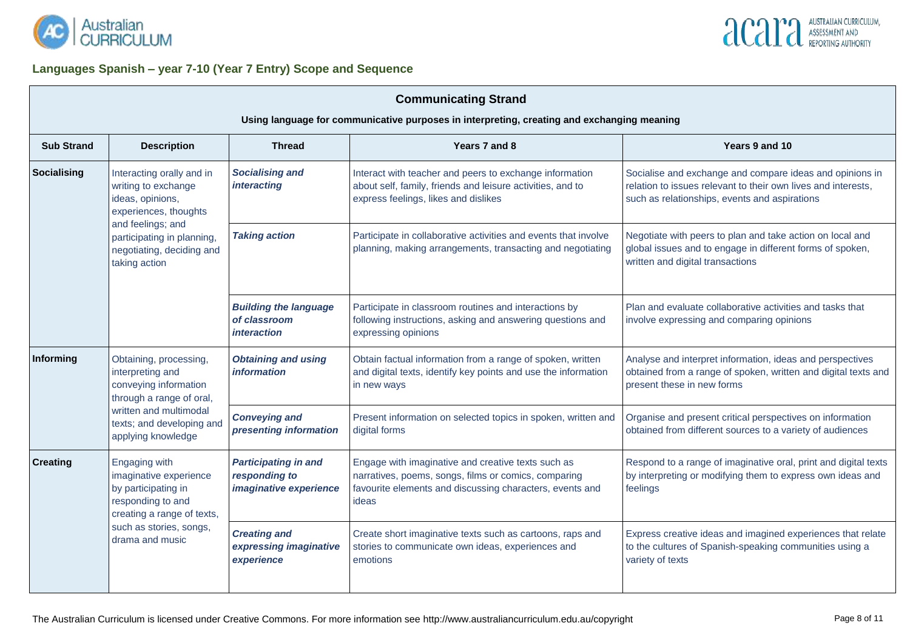



## **Languages Spanish – year 7-10 (Year 7 Entry) Scope and Sequence**

|                                                                       | <b>Communicating Strand</b><br>Using language for communicative purposes in interpreting, creating and exchanging meaning |                                                                        |                                                                                                                                                                                 |                                                                                                                                                                            |  |  |  |  |  |  |
|-----------------------------------------------------------------------|---------------------------------------------------------------------------------------------------------------------------|------------------------------------------------------------------------|---------------------------------------------------------------------------------------------------------------------------------------------------------------------------------|----------------------------------------------------------------------------------------------------------------------------------------------------------------------------|--|--|--|--|--|--|
| <b>Sub Strand</b>                                                     | <b>Description</b>                                                                                                        | <b>Thread</b>                                                          | Years 7 and 8                                                                                                                                                                   | Years 9 and 10                                                                                                                                                             |  |  |  |  |  |  |
| Socialising<br>ideas, opinions,<br>and feelings; and<br>taking action | Interacting orally and in<br>writing to exchange<br>experiences, thoughts                                                 | <b>Socialising and</b><br><i>interacting</i>                           | Interact with teacher and peers to exchange information<br>about self, family, friends and leisure activities, and to<br>express feelings, likes and dislikes                   | Socialise and exchange and compare ideas and opinions in<br>relation to issues relevant to their own lives and interests,<br>such as relationships, events and aspirations |  |  |  |  |  |  |
|                                                                       | participating in planning,<br>negotiating, deciding and                                                                   | <b>Taking action</b>                                                   | Participate in collaborative activities and events that involve<br>planning, making arrangements, transacting and negotiating                                                   | Negotiate with peers to plan and take action on local and<br>global issues and to engage in different forms of spoken,<br>written and digital transactions                 |  |  |  |  |  |  |
|                                                                       |                                                                                                                           | <b>Building the language</b><br>of classroom<br><i>interaction</i>     | Participate in classroom routines and interactions by<br>following instructions, asking and answering questions and<br>expressing opinions                                      | Plan and evaluate collaborative activities and tasks that<br>involve expressing and comparing opinions                                                                     |  |  |  |  |  |  |
| Informing                                                             | Obtaining, processing,<br>interpreting and<br>conveying information<br>through a range of oral,                           | <b>Obtaining and using</b><br><i>information</i>                       | Obtain factual information from a range of spoken, written<br>and digital texts, identify key points and use the information<br>in new ways                                     | Analyse and interpret information, ideas and perspectives<br>obtained from a range of spoken, written and digital texts and<br>present these in new forms                  |  |  |  |  |  |  |
|                                                                       | written and multimodal<br>texts; and developing and<br>applying knowledge                                                 | <b>Conveying and</b><br>presenting information                         | Present information on selected topics in spoken, written and<br>digital forms                                                                                                  | Organise and present critical perspectives on information<br>obtained from different sources to a variety of audiences                                                     |  |  |  |  |  |  |
| <b>Creating</b>                                                       | Engaging with<br>imaginative experience<br>by participating in<br>responding to and<br>creating a range of texts,         | <b>Participating in and</b><br>responding to<br>imaginative experience | Engage with imaginative and creative texts such as<br>narratives, poems, songs, films or comics, comparing<br>favourite elements and discussing characters, events and<br>ideas | Respond to a range of imaginative oral, print and digital texts<br>by interpreting or modifying them to express own ideas and<br>feelings                                  |  |  |  |  |  |  |
|                                                                       | such as stories, songs,<br>drama and music                                                                                | <b>Creating and</b><br>expressing imaginative<br>experience            | Create short imaginative texts such as cartoons, raps and<br>stories to communicate own ideas, experiences and<br>emotions                                                      | Express creative ideas and imagined experiences that relate<br>to the cultures of Spanish-speaking communities using a<br>variety of texts                                 |  |  |  |  |  |  |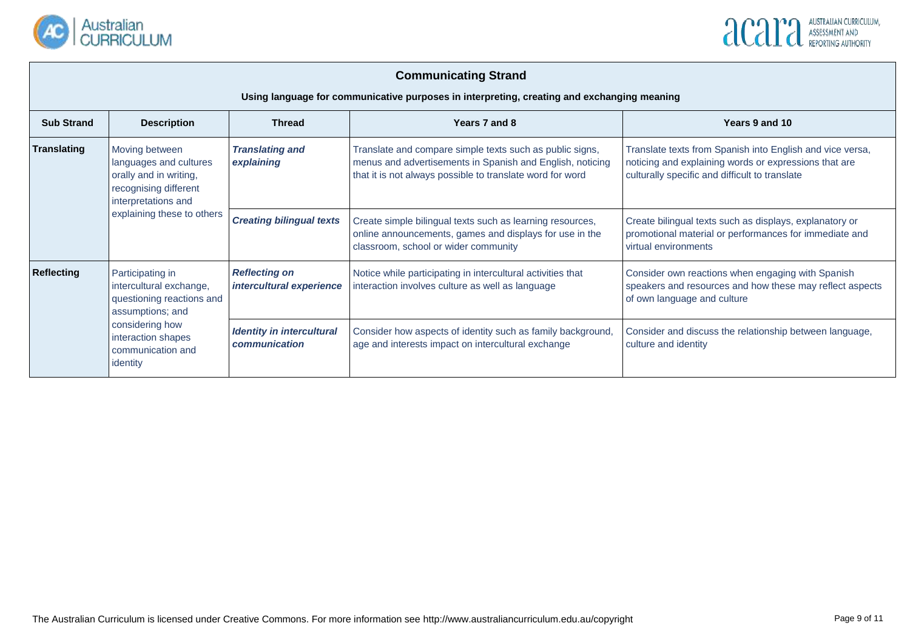



## **Communicating Strand**

**Using language for communicative purposes in interpreting, creating and exchanging meaning**

| <b>Sub Strand</b>  | <b>Description</b>                                                                                                                               | <b>Thread</b>                                     | Years 7 and 8                                                                                                                                                                      | Years 9 and 10                                                                                                                                                       |
|--------------------|--------------------------------------------------------------------------------------------------------------------------------------------------|---------------------------------------------------|------------------------------------------------------------------------------------------------------------------------------------------------------------------------------------|----------------------------------------------------------------------------------------------------------------------------------------------------------------------|
| <b>Translating</b> | Moving between<br>languages and cultures<br>orally and in writing,<br>recognising different<br>interpretations and<br>explaining these to others | <b>Translating and</b><br>explaining              | Translate and compare simple texts such as public signs,<br>menus and advertisements in Spanish and English, noticing<br>that it is not always possible to translate word for word | Translate texts from Spanish into English and vice versa,<br>noticing and explaining words or expressions that are<br>culturally specific and difficult to translate |
|                    |                                                                                                                                                  | <b>Creating bilingual texts</b>                   | Create simple bilingual texts such as learning resources,<br>online announcements, games and displays for use in the<br>classroom, school or wider community                       | Create bilingual texts such as displays, explanatory or<br>promotional material or performances for immediate and<br>virtual environments                            |
| <b>Reflecting</b>  | Participating in<br>intercultural exchange,<br>questioning reactions and<br>assumptions; and                                                     | <b>Reflecting on</b><br>intercultural experience  | Notice while participating in intercultural activities that<br>interaction involves culture as well as language                                                                    | Consider own reactions when engaging with Spanish<br>speakers and resources and how these may reflect aspects<br>of own language and culture                         |
|                    | considering how<br>interaction shapes<br>communication and<br>identity                                                                           | <b>Identity in intercultural</b><br>communication | Consider how aspects of identity such as family background,<br>age and interests impact on intercultural exchange                                                                  | Consider and discuss the relationship between language,<br>culture and identity                                                                                      |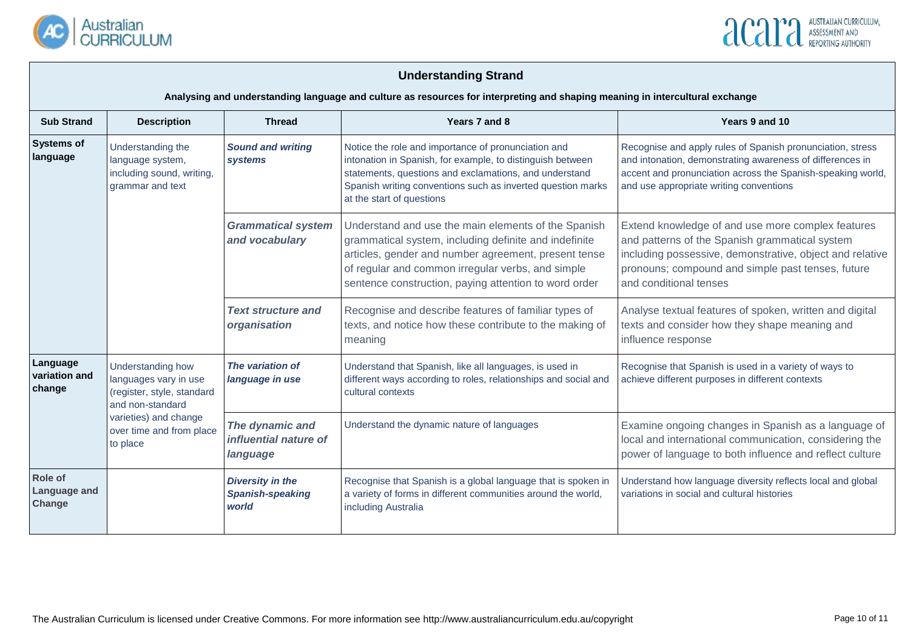



## **Understanding Strand**

**Analysing and understanding language and culture as resources for interpreting and shaping meaning in intercultural exchange**

| <b>Sub Strand</b>                        | <b>Description</b>                                                                           | <b>Thread</b>                                               | Years 7 and 8                                                                                                                                                                                                                                                                      | Years 9 and 10                                                                                                                                                                                                                                 |
|------------------------------------------|----------------------------------------------------------------------------------------------|-------------------------------------------------------------|------------------------------------------------------------------------------------------------------------------------------------------------------------------------------------------------------------------------------------------------------------------------------------|------------------------------------------------------------------------------------------------------------------------------------------------------------------------------------------------------------------------------------------------|
| <b>Systems of</b><br>language            | Understanding the<br>language system,<br>including sound, writing,<br>grammar and text       | <b>Sound and writing</b><br>systems                         | Notice the role and importance of pronunciation and<br>intonation in Spanish, for example, to distinguish between<br>statements, questions and exclamations, and understand<br>Spanish writing conventions such as inverted question marks<br>at the start of questions            | Recognise and apply rules of Spanish pronunciation, stress<br>and intonation, demonstrating awareness of differences in<br>accent and pronunciation across the Spanish-speaking world,<br>and use appropriate writing conventions              |
|                                          |                                                                                              | <b>Grammatical system</b><br>and vocabulary                 | Understand and use the main elements of the Spanish<br>grammatical system, including definite and indefinite<br>articles, gender and number agreement, present tense<br>of regular and common irregular verbs, and simple<br>sentence construction, paying attention to word order | Extend knowledge of and use more complex features<br>and patterns of the Spanish grammatical system<br>including possessive, demonstrative, object and relative<br>pronouns; compound and simple past tenses, future<br>and conditional tenses |
|                                          |                                                                                              | <b>Text structure and</b><br>organisation                   | Recognise and describe features of familiar types of<br>texts, and notice how these contribute to the making of<br>meaning                                                                                                                                                         | Analyse textual features of spoken, written and digital<br>texts and consider how they shape meaning and<br>influence response                                                                                                                 |
| Language<br>variation and<br>change      | Understanding how<br>languages vary in use<br>(register, style, standard<br>and non-standard | The variation of<br>language in use                         | Understand that Spanish, like all languages, is used in<br>different ways according to roles, relationships and social and<br>cultural contexts                                                                                                                                    | Recognise that Spanish is used in a variety of ways to<br>achieve different purposes in different contexts                                                                                                                                     |
|                                          | varieties) and change<br>over time and from place<br>to place                                | The dynamic and<br>influential nature of<br>language        | Understand the dynamic nature of languages                                                                                                                                                                                                                                         | Examine ongoing changes in Spanish as a language of<br>local and international communication, considering the<br>power of language to both influence and reflect culture                                                                       |
| <b>Role of</b><br>Language and<br>Change |                                                                                              | <b>Diversity in the</b><br><b>Spanish-speaking</b><br>world | Recognise that Spanish is a global language that is spoken in<br>a variety of forms in different communities around the world,<br>including Australia                                                                                                                              | Understand how language diversity reflects local and global<br>variations in social and cultural histories                                                                                                                                     |